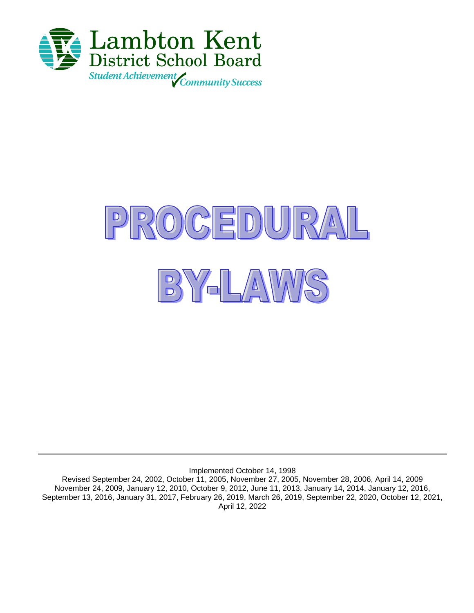



Implemented October 14, 1998

Revised September 24, 2002, October 11, 2005, November 27, 2005, November 28, 2006, April 14, 2009 November 24, 2009, January 12, 2010, October 9, 2012, June 11, 2013, January 14, 2014, January 12, 2016, September 13, 2016, January 31, 2017, February 26, 2019, March 26, 2019, September 22, 2020, October 12, 2021, April 12, 2022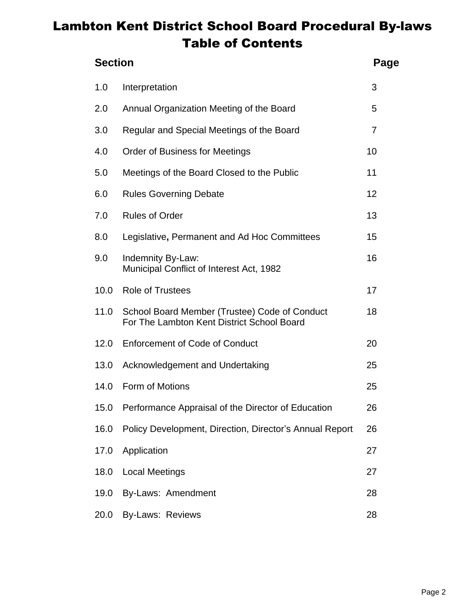# Lambton Kent District School Board Procedural By-laws Table of Contents

| <b>Section</b><br>Page |                                                                                             |                |
|------------------------|---------------------------------------------------------------------------------------------|----------------|
| 1.0                    | Interpretation                                                                              | 3              |
| 2.0                    | Annual Organization Meeting of the Board                                                    | 5              |
| 3.0                    | Regular and Special Meetings of the Board                                                   | $\overline{7}$ |
| 4.0                    | <b>Order of Business for Meetings</b>                                                       | 10             |
| 5.0                    | Meetings of the Board Closed to the Public                                                  | 11             |
| 6.0                    | <b>Rules Governing Debate</b>                                                               | 12             |
| 7.0                    | <b>Rules of Order</b>                                                                       | 13             |
| 8.0                    | Legislative, Permanent and Ad Hoc Committees                                                | 15             |
| 9.0                    | Indemnity By-Law:<br>Municipal Conflict of Interest Act, 1982                               | 16             |
| 10.0                   | <b>Role of Trustees</b>                                                                     | 17             |
| 11.0                   | School Board Member (Trustee) Code of Conduct<br>For The Lambton Kent District School Board | 18             |
| 12.0                   | <b>Enforcement of Code of Conduct</b>                                                       | 20             |
| 13.0                   | Acknowledgement and Undertaking                                                             | 25             |
| 14.0                   | Form of Motions                                                                             | 25             |
| 15.0                   | Performance Appraisal of the Director of Education                                          | 26             |
| 16.0                   | Policy Development, Direction, Director's Annual Report                                     | 26             |
| 17.0                   | Application                                                                                 | 27             |
| 18.0                   | <b>Local Meetings</b>                                                                       | 27             |
| 19.0                   | By-Laws: Amendment                                                                          | 28             |
| 20.0                   | By-Laws: Reviews                                                                            | 28             |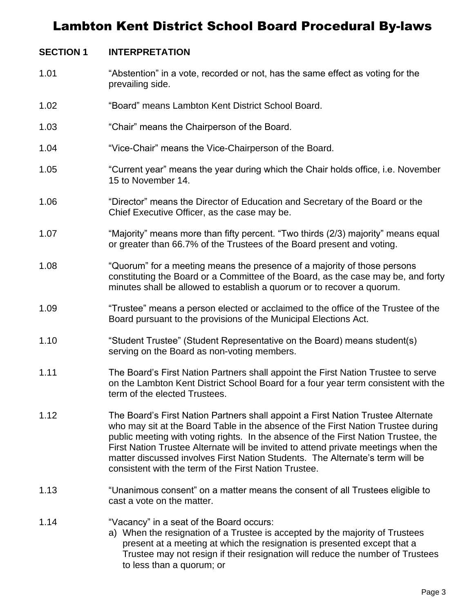#### **SECTION 1 INTERPRETATION**

- 1.01 "Abstention" in a vote, recorded or not, has the same effect as voting for the prevailing side.
- 1.02 "Board" means Lambton Kent District School Board.
- 1.03 "Chair" means the Chairperson of the Board.
- 1.04 "Vice-Chair" means the Vice-Chairperson of the Board.
- 1.05 "Current year" means the year during which the Chair holds office, i.e. November 15 to November 14.
- 1.06 "Director" means the Director of Education and Secretary of the Board or the Chief Executive Officer, as the case may be.
- 1.07 "Majority" means more than fifty percent. "Two thirds (2/3) majority" means equal or greater than 66.7% of the Trustees of the Board present and voting.
- 1.08 "Quorum" for a meeting means the presence of a majority of those persons constituting the Board or a Committee of the Board, as the case may be, and forty minutes shall be allowed to establish a quorum or to recover a quorum.
- 1.09 "Trustee" means a person elected or acclaimed to the office of the Trustee of the Board pursuant to the provisions of the Municipal Elections Act.
- 1.10 "Student Trustee" (Student Representative on the Board) means student(s) serving on the Board as non-voting members.
- 1.11 The Board's First Nation Partners shall appoint the First Nation Trustee to serve on the Lambton Kent District School Board for a four year term consistent with the term of the elected Trustees.
- 1.12 The Board's First Nation Partners shall appoint a First Nation Trustee Alternate who may sit at the Board Table in the absence of the First Nation Trustee during public meeting with voting rights. In the absence of the First Nation Trustee, the First Nation Trustee Alternate will be invited to attend private meetings when the matter discussed involves First Nation Students. The Alternate's term will be consistent with the term of the First Nation Trustee.
- 1.13 "Unanimous consent" on a matter means the consent of all Trustees eligible to cast a vote on the matter.
- 1.14 "Vacancy" in a seat of the Board occurs:
	- a) When the resignation of a Trustee is accepted by the majority of Trustees present at a meeting at which the resignation is presented except that a Trustee may not resign if their resignation will reduce the number of Trustees to less than a quorum; or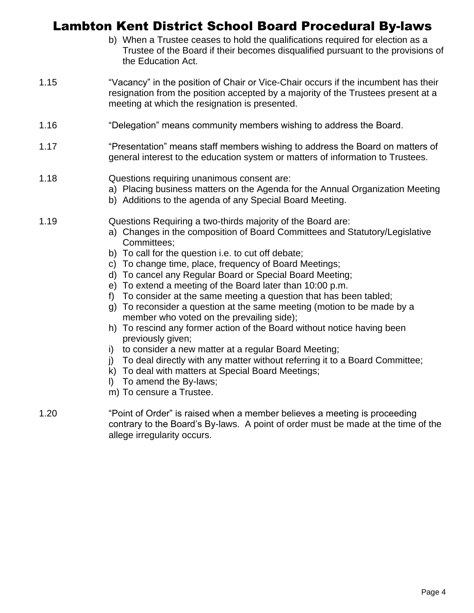- b) When a Trustee ceases to hold the qualifications required for election as a Trustee of the Board if their becomes disqualified pursuant to the provisions of the Education Act.
- 1.15 "Vacancy" in the position of Chair or Vice-Chair occurs if the incumbent has their resignation from the position accepted by a majority of the Trustees present at a meeting at which the resignation is presented.
- 1.16 "Delegation" means community members wishing to address the Board.
- 1.17 "Presentation" means staff members wishing to address the Board on matters of general interest to the education system or matters of information to Trustees.
- 1.18 Questions requiring unanimous consent are:
	- a) Placing business matters on the Agenda for the Annual Organization Meeting
	- b) Additions to the agenda of any Special Board Meeting.
- 1.19 Questions Requiring a two-thirds majority of the Board are:
	- a) Changes in the composition of Board Committees and Statutory/Legislative Committees;
	- b) To call for the question i.e. to cut off debate;
	- c) To change time, place, frequency of Board Meetings;
	- d) To cancel any Regular Board or Special Board Meeting;
	- e) To extend a meeting of the Board later than 10:00 p.m.
	- f) To consider at the same meeting a question that has been tabled;
	- g) To reconsider a question at the same meeting (motion to be made by a member who voted on the prevailing side);
	- h) To rescind any former action of the Board without notice having been previously given;
	- i) to consider a new matter at a regular Board Meeting;
	- j) To deal directly with any matter without referring it to a Board Committee;
	- k) To deal with matters at Special Board Meetings;
	- l) To amend the By-laws;
	- m) To censure a Trustee.
- 1.20 "Point of Order" is raised when a member believes a meeting is proceeding contrary to the Board's By-laws. A point of order must be made at the time of the allege irregularity occurs.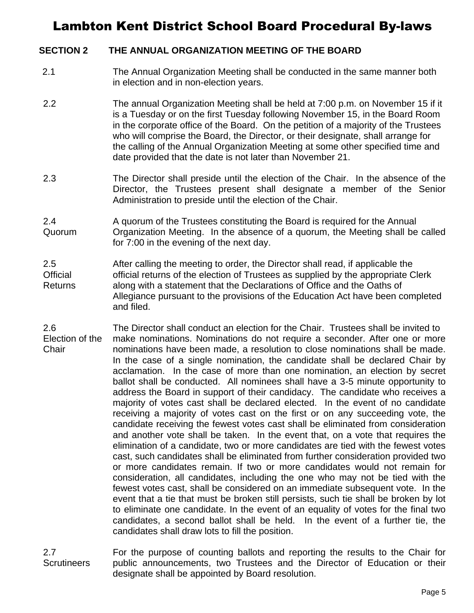#### **SECTION 2 THE ANNUAL ORGANIZATION MEETING OF THE BOARD**

- 2.1 The Annual Organization Meeting shall be conducted in the same manner both in election and in non-election years.
- 2.2 The annual Organization Meeting shall be held at 7:00 p.m. on November 15 if it is a Tuesday or on the first Tuesday following November 15, in the Board Room in the corporate office of the Board. On the petition of a majority of the Trustees who will comprise the Board, the Director, or their designate, shall arrange for the calling of the Annual Organization Meeting at some other specified time and date provided that the date is not later than November 21.
- 2.3 The Director shall preside until the election of the Chair. In the absence of the Director, the Trustees present shall designate a member of the Senior Administration to preside until the election of the Chair.
- 2.4 Quorum A quorum of the Trustees constituting the Board is required for the Annual Organization Meeting. In the absence of a quorum, the Meeting shall be called for 7:00 in the evening of the next day.
- 2.5 **Official** Returns After calling the meeting to order, the Director shall read, if applicable the official returns of the election of Trustees as supplied by the appropriate Clerk along with a statement that the Declarations of Office and the Oaths of Allegiance pursuant to the provisions of the Education Act have been completed and filed.
- 2.6 Election of the **Chair** The Director shall conduct an election for the Chair. Trustees shall be invited to make nominations. Nominations do not require a seconder. After one or more nominations have been made, a resolution to close nominations shall be made. In the case of a single nomination, the candidate shall be declared Chair by acclamation. In the case of more than one nomination, an election by secret ballot shall be conducted. All nominees shall have a 3-5 minute opportunity to address the Board in support of their candidacy. The candidate who receives a majority of votes cast shall be declared elected. In the event of no candidate receiving a majority of votes cast on the first or on any succeeding vote, the candidate receiving the fewest votes cast shall be eliminated from consideration and another vote shall be taken. In the event that, on a vote that requires the elimination of a candidate, two or more candidates are tied with the fewest votes cast, such candidates shall be eliminated from further consideration provided two or more candidates remain. If two or more candidates would not remain for consideration, all candidates, including the one who may not be tied with the fewest votes cast, shall be considered on an immediate subsequent vote. In the event that a tie that must be broken still persists, such tie shall be broken by lot to eliminate one candidate. In the event of an equality of votes for the final two candidates, a second ballot shall be held. In the event of a further tie, the candidates shall draw lots to fill the position.
- 2.7 **Scrutineers** For the purpose of counting ballots and reporting the results to the Chair for public announcements, two Trustees and the Director of Education or their designate shall be appointed by Board resolution.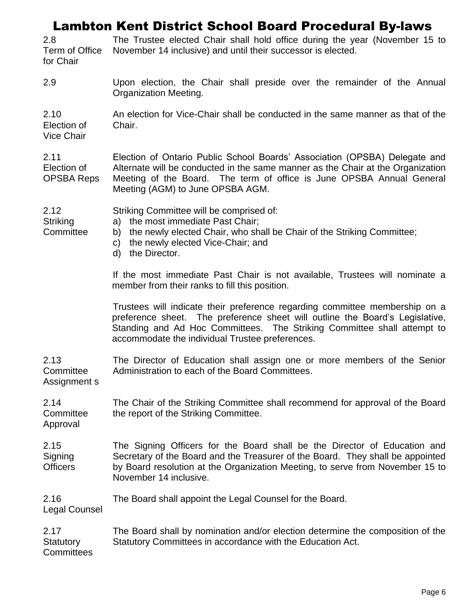2.8 Term of Office for Chair The Trustee elected Chair shall hold office during the year (November 15 to November 14 inclusive) and until their successor is elected.

2.9 Upon election, the Chair shall preside over the remainder of the Annual Organization Meeting.

2.10 Election of Vice Chair An election for Vice-Chair shall be conducted in the same manner as that of the Chair.

2.11 Election of OPSBA Reps Election of Ontario Public School Boards' Association (OPSBA) Delegate and Alternate will be conducted in the same manner as the Chair at the Organization Meeting of the Board. The term of office is June OPSBA Annual General Meeting (AGM) to June OPSBA AGM.

Striking Committee will be comprised of:

- **Striking Committee** a) the most immediate Past Chair;
	- b) the newly elected Chair, who shall be Chair of the Striking Committee;
	- c) the newly elected Vice-Chair; and
	- d) the Director.

If the most immediate Past Chair is not available, Trustees will nominate a member from their ranks to fill this position.

Trustees will indicate their preference regarding committee membership on a preference sheet. The preference sheet will outline the Board's Legislative, Standing and Ad Hoc Committees. The Striking Committee shall attempt to accommodate the individual Trustee preferences.

2.13 **Committee** Assignment s The Director of Education shall assign one or more members of the Senior Administration to each of the Board Committees.

2.14 **Committee** The Chair of the Striking Committee shall recommend for approval of the Board the report of the Striking Committee.

Approval

2.12

2.15 **Signing Officers** The Signing Officers for the Board shall be the Director of Education and Secretary of the Board and the Treasurer of the Board. They shall be appointed by Board resolution at the Organization Meeting, to serve from November 15 to November 14 inclusive.

2.16 The Board shall appoint the Legal Counsel for the Board.

Legal Counsel

2.17 **Statutory Committees** The Board shall by nomination and/or election determine the composition of the Statutory Committees in accordance with the Education Act.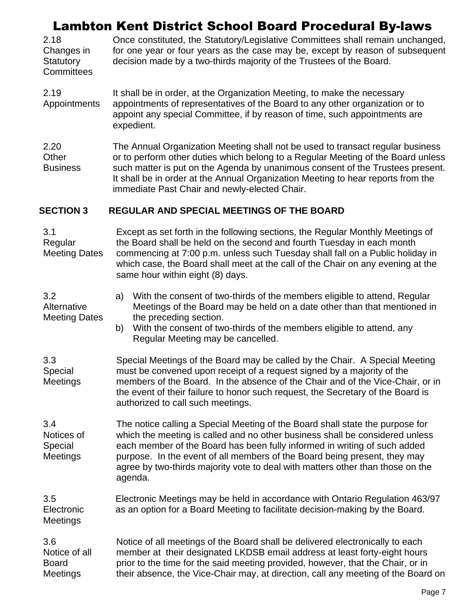2.18 Changes in **Statutory Committees** Once constituted, the Statutory/Legislative Committees shall remain unchanged, for one year or four years as the case may be, except by reason of subsequent decision made by a two-thirds majority of the Trustees of the Board.

2.19 Appointments It shall be in order, at the Organization Meeting, to make the necessary appointments of representatives of the Board to any other organization or to appoint any special Committee, if by reason of time, such appointments are expedient.

2.20 **Other Business** The Annual Organization Meeting shall not be used to transact regular business or to perform other duties which belong to a Regular Meeting of the Board unless such matter is put on the Agenda by unanimous consent of the Trustees present. It shall be in order at the Annual Organization Meeting to hear reports from the immediate Past Chair and newly-elected Chair.

#### **SECTION 3 REGULAR AND SPECIAL MEETINGS OF THE BOARD**

| 3.1<br>Regular<br><b>Meeting Dates</b>                  | Except as set forth in the following sections, the Regular Monthly Meetings of<br>the Board shall be held on the second and fourth Tuesday in each month<br>commencing at 7:00 p.m. unless such Tuesday shall fall on a Public holiday in<br>which case, the Board shall meet at the call of the Chair on any evening at the<br>same hour within eight (8) days.                                                     |  |
|---------------------------------------------------------|----------------------------------------------------------------------------------------------------------------------------------------------------------------------------------------------------------------------------------------------------------------------------------------------------------------------------------------------------------------------------------------------------------------------|--|
| 3.2<br>Alternative<br><b>Meeting Dates</b>              | With the consent of two-thirds of the members eligible to attend, Regular<br>a)<br>Meetings of the Board may be held on a date other than that mentioned in<br>the preceding section.<br>With the consent of two-thirds of the members eligible to attend, any<br>b)<br>Regular Meeting may be cancelled.                                                                                                            |  |
| 3.3<br>Special<br><b>Meetings</b>                       | Special Meetings of the Board may be called by the Chair. A Special Meeting<br>must be convened upon receipt of a request signed by a majority of the<br>members of the Board. In the absence of the Chair and of the Vice-Chair, or in<br>the event of their failure to honor such request, the Secretary of the Board is<br>authorized to call such meetings.                                                      |  |
| 3.4<br>Notices of<br>Special<br>Meetings                | The notice calling a Special Meeting of the Board shall state the purpose for<br>which the meeting is called and no other business shall be considered unless<br>each member of the Board has been fully informed in writing of such added<br>purpose. In the event of all members of the Board being present, they may<br>agree by two-thirds majority vote to deal with matters other than those on the<br>agenda. |  |
| 3.5<br>Electronic<br>Meetings                           | Electronic Meetings may be held in accordance with Ontario Regulation 463/97<br>as an option for a Board Meeting to facilitate decision-making by the Board.                                                                                                                                                                                                                                                         |  |
| 3.6<br>Notice of all<br><b>Board</b><br><b>Meetings</b> | Notice of all meetings of the Board shall be delivered electronically to each<br>member at their designated LKDSB email address at least forty-eight hours<br>prior to the time for the said meeting provided, however, that the Chair, or in<br>their absence, the Vice-Chair may, at direction, call any meeting of the Board on                                                                                   |  |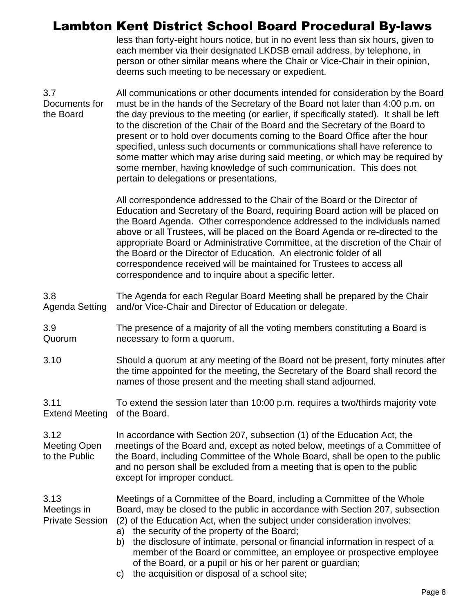less than forty-eight hours notice, but in no event less than six hours, given to each member via their designated LKDSB email address, by telephone, in person or other similar means where the Chair or Vice-Chair in their opinion, deems such meeting to be necessary or expedient.

3.7 Documents for the Board All communications or other documents intended for consideration by the Board must be in the hands of the Secretary of the Board not later than 4:00 p.m. on the day previous to the meeting (or earlier, if specifically stated). It shall be left to the discretion of the Chair of the Board and the Secretary of the Board to present or to hold over documents coming to the Board Office after the hour specified, unless such documents or communications shall have reference to some matter which may arise during said meeting, or which may be required by some member, having knowledge of such communication. This does not pertain to delegations or presentations.

> All correspondence addressed to the Chair of the Board or the Director of Education and Secretary of the Board, requiring Board action will be placed on the Board Agenda. Other correspondence addressed to the individuals named above or all Trustees, will be placed on the Board Agenda or re-directed to the appropriate Board or Administrative Committee, at the discretion of the Chair of the Board or the Director of Education. An electronic folder of all correspondence received will be maintained for Trustees to access all correspondence and to inquire about a specific letter.

3.8 Agenda Setting The Agenda for each Regular Board Meeting shall be prepared by the Chair and/or Vice-Chair and Director of Education or delegate.

3.9 Quorum The presence of a majority of all the voting members constituting a Board is necessary to form a quorum.

3.10 Should a quorum at any meeting of the Board not be present, forty minutes after the time appointed for the meeting, the Secretary of the Board shall record the names of those present and the meeting shall stand adjourned.

3.11 Extend Meeting To extend the session later than 10:00 p.m. requires a two/thirds majority vote of the Board.

3.12 Meeting Open to the Public In accordance with Section 207, subsection (1) of the Education Act, the meetings of the Board and, except as noted below, meetings of a Committee of the Board, including Committee of the Whole Board, shall be open to the public and no person shall be excluded from a meeting that is open to the public except for improper conduct.

3.13 Meetings in Private Session Meetings of a Committee of the Board, including a Committee of the Whole Board, may be closed to the public in accordance with Section 207, subsection (2) of the Education Act, when the subject under consideration involves:

- a) the security of the property of the Board;
- b) the disclosure of intimate, personal or financial information in respect of a member of the Board or committee, an employee or prospective employee of the Board, or a pupil or his or her parent or guardian;
- c) the acquisition or disposal of a school site;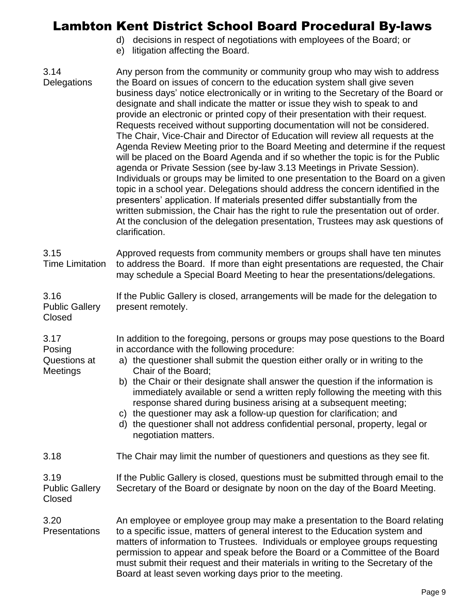- d) decisions in respect of negotiations with employees of the Board; or
- e) litigation affecting the Board.

3.17

**Meetings** 

3.14 **Delegations** Any person from the community or community group who may wish to address the Board on issues of concern to the education system shall give seven business days' notice electronically or in writing to the Secretary of the Board or designate and shall indicate the matter or issue they wish to speak to and provide an electronic or printed copy of their presentation with their request. Requests received without supporting documentation will not be considered. The Chair, Vice-Chair and Director of Education will review all requests at the Agenda Review Meeting prior to the Board Meeting and determine if the request will be placed on the Board Agenda and if so whether the topic is for the Public agenda or Private Session (see by-law 3.13 Meetings in Private Session). Individuals or groups may be limited to one presentation to the Board on a given topic in a school year. Delegations should address the concern identified in the presenters' application. If materials presented differ substantially from the written submission, the Chair has the right to rule the presentation out of order. At the conclusion of the delegation presentation, Trustees may ask questions of clarification. 3.15 Time Limitation 3.16 Public Gallery Closed Approved requests from community members or groups shall have ten minutes to address the Board. If more than eight presentations are requested, the Chair may schedule a Special Board Meeting to hear the presentations/delegations. If the Public Gallery is closed, arrangements will be made for the delegation to present remotely.

Posing Questions at In addition to the foregoing, persons or groups may pose questions to the Board in accordance with the following procedure:

a) the questioner shall submit the question either orally or in writing to the Chair of the Board;

- b) the Chair or their designate shall answer the question if the information is immediately available or send a written reply following the meeting with this response shared during business arising at a subsequent meeting;
- c) the questioner may ask a follow-up question for clarification; and
- d) the questioner shall not address confidential personal, property, legal or negotiation matters.
- 3.18 The Chair may limit the number of questioners and questions as they see fit.

3.19 Public Gallery Closed If the Public Gallery is closed, questions must be submitted through email to the Secretary of the Board or designate by noon on the day of the Board Meeting.

3.20 **Presentations** An employee or employee group may make a presentation to the Board relating to a specific issue, matters of general interest to the Education system and matters of information to Trustees. Individuals or employee groups requesting permission to appear and speak before the Board or a Committee of the Board must submit their request and their materials in writing to the Secretary of the Board at least seven working days prior to the meeting.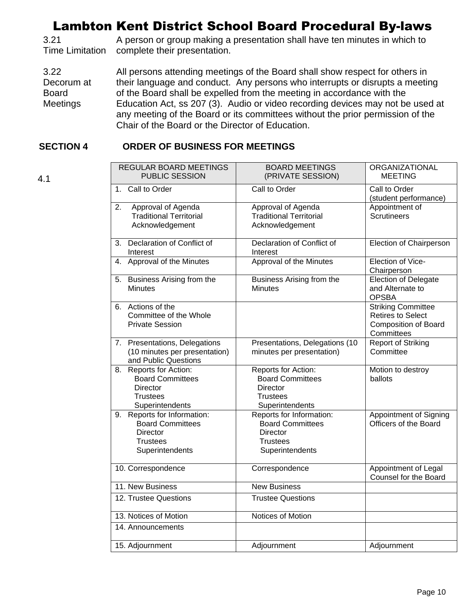3.21 Time Limitation A person or group making a presentation shall have ten minutes in which to complete their presentation.

3.22 Decorum at Board Meetings All persons attending meetings of the Board shall show respect for others in their language and conduct. Any persons who interrupts or disrupts a meeting of the Board shall be expelled from the meeting in accordance with the Education Act, ss 207 (3). Audio or video recording devices may not be used at any meeting of the Board or its committees without the prior permission of the Chair of the Board or the Director of Education.

#### **SECTION 4 ORDER OF BUSINESS FOR MEETINGS**

4.1

| REGULAR BOARD MEETINGS<br><b>PUBLIC SESSION</b> |                                                                                                                 | <b>BOARD MEETINGS</b><br>(PRIVATE SESSION)                                                       | ORGANIZATIONAL<br><b>MEETING</b>                                                                   |
|-------------------------------------------------|-----------------------------------------------------------------------------------------------------------------|--------------------------------------------------------------------------------------------------|----------------------------------------------------------------------------------------------------|
| $1_{-}$                                         | Call to Order                                                                                                   | Call to Order                                                                                    | Call to Order<br>(student performance)                                                             |
| 2.                                              | Approval of Agenda<br><b>Traditional Territorial</b><br>Acknowledgement                                         | Approval of Agenda<br><b>Traditional Territorial</b><br>Acknowledgement                          | Appointment of<br><b>Scrutineers</b>                                                               |
| 3.                                              | Declaration of Conflict of<br>Interest                                                                          | Declaration of Conflict of<br>Interest                                                           | Election of Chairperson                                                                            |
|                                                 | 4. Approval of the Minutes                                                                                      | Approval of the Minutes                                                                          | Election of Vice-<br>Chairperson                                                                   |
|                                                 | 5. Business Arising from the<br><b>Minutes</b>                                                                  | Business Arising from the<br><b>Minutes</b>                                                      | <b>Election of Delegate</b><br>and Alternate to<br><b>OPSBA</b>                                    |
|                                                 | 6. Actions of the<br>Committee of the Whole<br><b>Private Session</b>                                           |                                                                                                  | <b>Striking Committee</b><br><b>Retires to Select</b><br><b>Composition of Board</b><br>Committees |
|                                                 | 7. Presentations, Delegations<br>(10 minutes per presentation)<br>and Public Questions                          | Presentations, Delegations (10<br>minutes per presentation)                                      | <b>Report of Striking</b><br>Committee                                                             |
|                                                 | 8. Reports for Action:<br><b>Board Committees</b><br><b>Director</b><br><b>Trustees</b><br>Superintendents      | Reports for Action:<br><b>Board Committees</b><br>Director<br><b>Trustees</b><br>Superintendents | Motion to destroy<br>ballots                                                                       |
|                                                 | 9. Reports for Information:<br><b>Board Committees</b><br><b>Director</b><br><b>Trustees</b><br>Superintendents | Reports for Information:<br><b>Board Committees</b><br>Director<br>Trustees<br>Superintendents   | Appointment of Signing<br>Officers of the Board                                                    |
|                                                 | 10. Correspondence                                                                                              | Correspondence                                                                                   | Appointment of Legal<br>Counsel for the Board                                                      |
|                                                 | 11. New Business                                                                                                | <b>New Business</b>                                                                              |                                                                                                    |
|                                                 | 12. Trustee Questions                                                                                           | <b>Trustee Questions</b>                                                                         |                                                                                                    |
| Notices of Motion<br>13. Notices of Motion      |                                                                                                                 |                                                                                                  |                                                                                                    |
|                                                 | 14. Announcements                                                                                               |                                                                                                  |                                                                                                    |
|                                                 | 15. Adjournment                                                                                                 | Adjournment                                                                                      | Adjournment                                                                                        |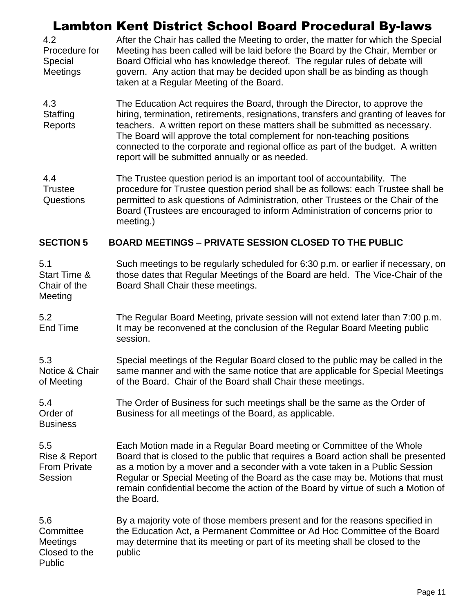| 4.2             | After the Chair has called the Meeting to order, the matter for which the Special    |
|-----------------|--------------------------------------------------------------------------------------|
| Procedure for   | Meeting has been called will be laid before the Board by the Chair, Member or        |
| Special         | Board Official who has knowledge thereof. The regular rules of debate will           |
| <b>Meetings</b> | govern. Any action that may be decided upon shall be as binding as though            |
|                 | taken at a Regular Meeting of the Board.                                             |
| 4.3             | The Education Act requires the Board, through the Director, to approve the           |
| Staffing        | hiring, termination, retirements, resignations, transfers and granting of leaves for |
| <b>Donorto</b>  | togebore A written report on those matters shall be submitted as pecessary           |

Reports teachers. A written report on these matters shall be submitted as necessary. The Board will approve the total complement for non-teaching positions connected to the corporate and regional office as part of the budget. A written report will be submitted annually or as needed.

4.4 **Trustee** Questions The Trustee question period is an important tool of accountability. The procedure for Trustee question period shall be as follows: each Trustee shall be permitted to ask questions of Administration, other Trustees or the Chair of the Board (Trustees are encouraged to inform Administration of concerns prior to meeting.)

#### **SECTION 5 BOARD MEETINGS – PRIVATE SESSION CLOSED TO THE PUBLIC**

| 5.1          | Such meetings to be regularly scheduled for 6:30 p.m. or earlier if necessary, on |
|--------------|-----------------------------------------------------------------------------------|
| Start Time & | those dates that Regular Meetings of the Board are held. The Vice-Chair of the    |
| Chair of the | Board Shall Chair these meetings.                                                 |
| Meeting      |                                                                                   |

5.2 End Time The Regular Board Meeting, private session will not extend later than 7:00 p.m. It may be reconvened at the conclusion of the Regular Board Meeting public session.

5.3 Notice & Chair of Meeting Special meetings of the Regular Board closed to the public may be called in the same manner and with the same notice that are applicable for Special Meetings of the Board. Chair of the Board shall Chair these meetings.

5.4 Order of **Business** The Order of Business for such meetings shall be the same as the Order of Business for all meetings of the Board, as applicable.

5.5 Rise & Report From Private Session Each Motion made in a Regular Board meeting or Committee of the Whole Board that is closed to the public that requires a Board action shall be presented as a motion by a mover and a seconder with a vote taken in a Public Session Regular or Special Meeting of the Board as the case may be. Motions that must remain confidential become the action of the Board by virtue of such a Motion of the Board.

5.6 **Committee Meetings** Closed to the Public By a majority vote of those members present and for the reasons specified in the Education Act, a Permanent Committee or Ad Hoc Committee of the Board may determine that its meeting or part of its meeting shall be closed to the public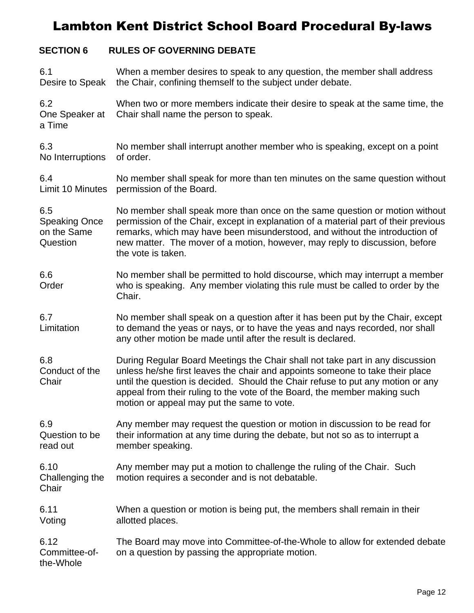### **SECTION 6 RULES OF GOVERNING DEBATE**

| 6.1<br>Desire to Speak                                 | When a member desires to speak to any question, the member shall address<br>the Chair, confining themself to the subject under debate.                                                                                                                                                                                                                                       |
|--------------------------------------------------------|------------------------------------------------------------------------------------------------------------------------------------------------------------------------------------------------------------------------------------------------------------------------------------------------------------------------------------------------------------------------------|
| 6.2<br>One Speaker at<br>a Time                        | When two or more members indicate their desire to speak at the same time, the<br>Chair shall name the person to speak.                                                                                                                                                                                                                                                       |
| 6.3<br>No Interruptions                                | No member shall interrupt another member who is speaking, except on a point<br>of order.                                                                                                                                                                                                                                                                                     |
| 6.4<br>Limit 10 Minutes                                | No member shall speak for more than ten minutes on the same question without<br>permission of the Board.                                                                                                                                                                                                                                                                     |
| 6.5<br><b>Speaking Once</b><br>on the Same<br>Question | No member shall speak more than once on the same question or motion without<br>permission of the Chair, except in explanation of a material part of their previous<br>remarks, which may have been misunderstood, and without the introduction of<br>new matter. The mover of a motion, however, may reply to discussion, before<br>the vote is taken.                       |
| 6.6<br>Order                                           | No member shall be permitted to hold discourse, which may interrupt a member<br>who is speaking. Any member violating this rule must be called to order by the<br>Chair.                                                                                                                                                                                                     |
| 6.7<br>Limitation                                      | No member shall speak on a question after it has been put by the Chair, except<br>to demand the yeas or nays, or to have the yeas and nays recorded, nor shall<br>any other motion be made until after the result is declared.                                                                                                                                               |
| 6.8<br>Conduct of the<br>Chair                         | During Regular Board Meetings the Chair shall not take part in any discussion<br>unless he/she first leaves the chair and appoints someone to take their place<br>until the question is decided. Should the Chair refuse to put any motion or any<br>appeal from their ruling to the vote of the Board, the member making such<br>motion or appeal may put the same to vote. |
| 6.9<br>Question to be<br>read out                      | Any member may request the question or motion in discussion to be read for<br>their information at any time during the debate, but not so as to interrupt a<br>member speaking.                                                                                                                                                                                              |
| 6.10<br>Challenging the<br>Chair                       | Any member may put a motion to challenge the ruling of the Chair. Such<br>motion requires a seconder and is not debatable.                                                                                                                                                                                                                                                   |
| 6.11<br>Voting                                         | When a question or motion is being put, the members shall remain in their<br>allotted places.                                                                                                                                                                                                                                                                                |
| 6.12<br>Committee-of-<br>the-Whole                     | The Board may move into Committee-of-the-Whole to allow for extended debate<br>on a question by passing the appropriate motion.                                                                                                                                                                                                                                              |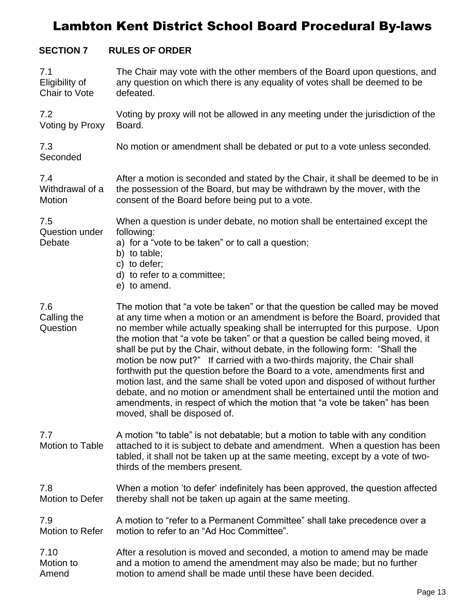#### **SECTION 7 RULES OF ORDER**

| 7.1                                    | The Chair may vote with the other members of the Board upon questions, and                                                                                                                                                                                                                                                                                                                                                                                                                                                                                                                                                                                                                                                                                                                                                                                   |
|----------------------------------------|--------------------------------------------------------------------------------------------------------------------------------------------------------------------------------------------------------------------------------------------------------------------------------------------------------------------------------------------------------------------------------------------------------------------------------------------------------------------------------------------------------------------------------------------------------------------------------------------------------------------------------------------------------------------------------------------------------------------------------------------------------------------------------------------------------------------------------------------------------------|
| Eligibility of                         | any question on which there is any equality of votes shall be deemed to be                                                                                                                                                                                                                                                                                                                                                                                                                                                                                                                                                                                                                                                                                                                                                                                   |
| Chair to Vote                          | defeated.                                                                                                                                                                                                                                                                                                                                                                                                                                                                                                                                                                                                                                                                                                                                                                                                                                                    |
| 7.2                                    | Voting by proxy will not be allowed in any meeting under the jurisdiction of the                                                                                                                                                                                                                                                                                                                                                                                                                                                                                                                                                                                                                                                                                                                                                                             |
| Voting by Proxy                        | Board.                                                                                                                                                                                                                                                                                                                                                                                                                                                                                                                                                                                                                                                                                                                                                                                                                                                       |
| 7.3<br>Seconded                        | No motion or amendment shall be debated or put to a vote unless seconded.                                                                                                                                                                                                                                                                                                                                                                                                                                                                                                                                                                                                                                                                                                                                                                                    |
| 7.4                                    | After a motion is seconded and stated by the Chair, it shall be deemed to be in                                                                                                                                                                                                                                                                                                                                                                                                                                                                                                                                                                                                                                                                                                                                                                              |
| Withdrawal of a                        | the possession of the Board, but may be withdrawn by the mover, with the                                                                                                                                                                                                                                                                                                                                                                                                                                                                                                                                                                                                                                                                                                                                                                                     |
| Motion                                 | consent of the Board before being put to a vote.                                                                                                                                                                                                                                                                                                                                                                                                                                                                                                                                                                                                                                                                                                                                                                                                             |
| 7.5<br><b>Question under</b><br>Debate | When a question is under debate, no motion shall be entertained except the<br>following:<br>a) for a "vote to be taken" or to call a question;<br>b) to table;<br>c) to defer;<br>d) to refer to a committee;<br>e) to amend.                                                                                                                                                                                                                                                                                                                                                                                                                                                                                                                                                                                                                                |
| 7.6<br>Calling the<br>Question         | The motion that "a vote be taken" or that the question be called may be moved<br>at any time when a motion or an amendment is before the Board, provided that<br>no member while actually speaking shall be interrupted for this purpose. Upon<br>the motion that "a vote be taken" or that a question be called being moved, it<br>shall be put by the Chair, without debate, in the following form: "Shall the<br>motion be now put?" If carried with a two-thirds majority, the Chair shall<br>forthwith put the question before the Board to a vote, amendments first and<br>motion last, and the same shall be voted upon and disposed of without further<br>debate, and no motion or amendment shall be entertained until the motion and<br>amendments, in respect of which the motion that "a vote be taken" has been<br>moved, shall be disposed of. |
| 7.7<br>Motion to Table                 | A motion "to table" is not debatable; but a motion to table with any condition<br>attached to it is subject to debate and amendment. When a question has been<br>tabled, it shall not be taken up at the same meeting, except by a vote of two-<br>thirds of the members present.                                                                                                                                                                                                                                                                                                                                                                                                                                                                                                                                                                            |
| 7.8                                    | When a motion 'to defer' indefinitely has been approved, the question affected                                                                                                                                                                                                                                                                                                                                                                                                                                                                                                                                                                                                                                                                                                                                                                               |
| <b>Motion to Defer</b>                 | thereby shall not be taken up again at the same meeting.                                                                                                                                                                                                                                                                                                                                                                                                                                                                                                                                                                                                                                                                                                                                                                                                     |
| 7.9                                    | A motion to "refer to a Permanent Committee" shall take precedence over a                                                                                                                                                                                                                                                                                                                                                                                                                                                                                                                                                                                                                                                                                                                                                                                    |
| <b>Motion to Refer</b>                 | motion to refer to an "Ad Hoc Committee".                                                                                                                                                                                                                                                                                                                                                                                                                                                                                                                                                                                                                                                                                                                                                                                                                    |
| 7.10                                   | After a resolution is moved and seconded, a motion to amend may be made                                                                                                                                                                                                                                                                                                                                                                                                                                                                                                                                                                                                                                                                                                                                                                                      |
| Motion to                              | and a motion to amend the amendment may also be made; but no further                                                                                                                                                                                                                                                                                                                                                                                                                                                                                                                                                                                                                                                                                                                                                                                         |
| Amend                                  | motion to amend shall be made until these have been decided.                                                                                                                                                                                                                                                                                                                                                                                                                                                                                                                                                                                                                                                                                                                                                                                                 |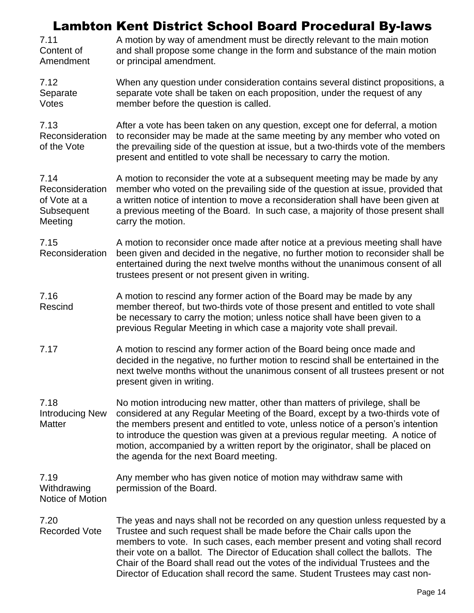| 7.11<br>Content of<br>Amendment                                  | , , , , , , <u>,</u><br>A motion by way of amendment must be directly relevant to the main motion<br>and shall propose some change in the form and substance of the main motion<br>or principal amendment.                                                                                                                                                                                                                                                                                  |
|------------------------------------------------------------------|---------------------------------------------------------------------------------------------------------------------------------------------------------------------------------------------------------------------------------------------------------------------------------------------------------------------------------------------------------------------------------------------------------------------------------------------------------------------------------------------|
| 7.12<br>Separate<br>Votes                                        | When any question under consideration contains several distinct propositions, a<br>separate vote shall be taken on each proposition, under the request of any<br>member before the question is called.                                                                                                                                                                                                                                                                                      |
| 7.13<br>Reconsideration<br>of the Vote                           | After a vote has been taken on any question, except one for deferral, a motion<br>to reconsider may be made at the same meeting by any member who voted on<br>the prevailing side of the question at issue, but a two-thirds vote of the members<br>present and entitled to vote shall be necessary to carry the motion.                                                                                                                                                                    |
| 7.14<br>Reconsideration<br>of Vote at a<br>Subsequent<br>Meeting | A motion to reconsider the vote at a subsequent meeting may be made by any<br>member who voted on the prevailing side of the question at issue, provided that<br>a written notice of intention to move a reconsideration shall have been given at<br>a previous meeting of the Board. In such case, a majority of those present shall<br>carry the motion.                                                                                                                                  |
| 7.15<br>Reconsideration                                          | A motion to reconsider once made after notice at a previous meeting shall have<br>been given and decided in the negative, no further motion to reconsider shall be<br>entertained during the next twelve months without the unanimous consent of all<br>trustees present or not present given in writing.                                                                                                                                                                                   |
| 7.16<br>Rescind                                                  | A motion to rescind any former action of the Board may be made by any<br>member thereof, but two-thirds vote of those present and entitled to vote shall<br>be necessary to carry the motion; unless notice shall have been given to a<br>previous Regular Meeting in which case a majority vote shall prevail.                                                                                                                                                                             |
| 7.17                                                             | A motion to rescind any former action of the Board being once made and<br>decided in the negative, no further motion to rescind shall be entertained in the<br>next twelve months without the unanimous consent of all trustees present or not<br>present given in writing.                                                                                                                                                                                                                 |
| 7.18<br><b>Introducing New</b><br><b>Matter</b>                  | No motion introducing new matter, other than matters of privilege, shall be<br>considered at any Regular Meeting of the Board, except by a two-thirds vote of<br>the members present and entitled to vote, unless notice of a person's intention<br>to introduce the question was given at a previous regular meeting. A notice of<br>motion, accompanied by a written report by the originator, shall be placed on<br>the agenda for the next Board meeting.                               |
| 7.19<br>Withdrawing<br>Notice of Motion                          | Any member who has given notice of motion may withdraw same with<br>permission of the Board.                                                                                                                                                                                                                                                                                                                                                                                                |
| 7.20<br><b>Recorded Vote</b>                                     | The yeas and nays shall not be recorded on any question unless requested by a<br>Trustee and such request shall be made before the Chair calls upon the<br>members to vote. In such cases, each member present and voting shall record<br>their vote on a ballot. The Director of Education shall collect the ballots. The<br>Chair of the Board shall read out the votes of the individual Trustees and the<br>Director of Education shall record the same. Student Trustees may cast non- |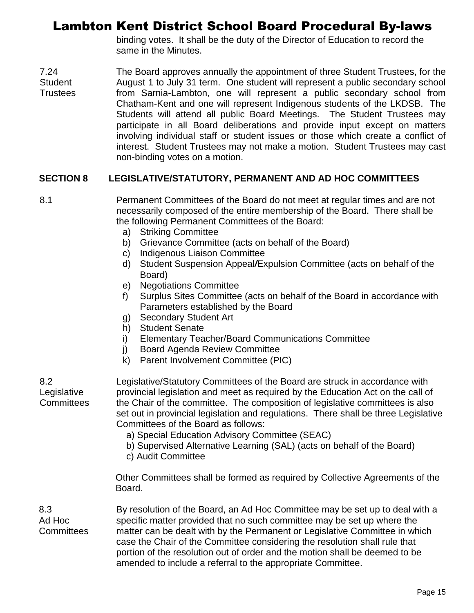binding votes. It shall be the duty of the Director of Education to record the same in the Minutes.

7.24 **Student Trustees** The Board approves annually the appointment of three Student Trustees, for the August 1 to July 31 term. One student will represent a public secondary school from Sarnia-Lambton, one will represent a public secondary school from Chatham-Kent and one will represent Indigenous students of the LKDSB. The Students will attend all public Board Meetings. The Student Trustees may participate in all Board deliberations and provide input except on matters involving individual staff or student issues or those which create a conflict of interest. Student Trustees may not make a motion. Student Trustees may cast non-binding votes on a motion.

#### **SECTION 8 LEGISLATIVE/STATUTORY, PERMANENT AND AD HOC COMMITTEES**

8.1 Permanent Committees of the Board do not meet at regular times and are not necessarily composed of the entire membership of the Board. There shall be the following Permanent Committees of the Board:

- a) Striking Committee
- b) Grievance Committee (acts on behalf of the Board)
- c) Indigenous Liaison Committee
- d) Student Suspension Appeal*/*Expulsion Committee (acts on behalf of the Board)
- e) Negotiations Committee
- f) Surplus Sites Committee (acts on behalf of the Board in accordance with Parameters established by the Board
- g) Secondary Student Art
- h) Student Senate
- i) Elementary Teacher/Board Communications Committee
- j) Board Agenda Review Committee
- k) Parent Involvement Committee (PIC)

Legislative **Committees** Legislative/Statutory Committees of the Board are struck in accordance with provincial legislation and meet as required by the Education Act on the call of the Chair of the committee. The composition of legislative committees is also set out in provincial legislation and regulations. There shall be three Legislative Committees of the Board as follows:

- a) Special Education Advisory Committee (SEAC)
- b) Supervised Alternative Learning (SAL) (acts on behalf of the Board)
- c) Audit Committee

Other Committees shall be formed as required by Collective Agreements of the Board.

8.3 Ad Hoc **Committees** 

8.2

By resolution of the Board, an Ad Hoc Committee may be set up to deal with a specific matter provided that no such committee may be set up where the matter can be dealt with by the Permanent or Legislative Committee in which case the Chair of the Committee considering the resolution shall rule that portion of the resolution out of order and the motion shall be deemed to be amended to include a referral to the appropriate Committee.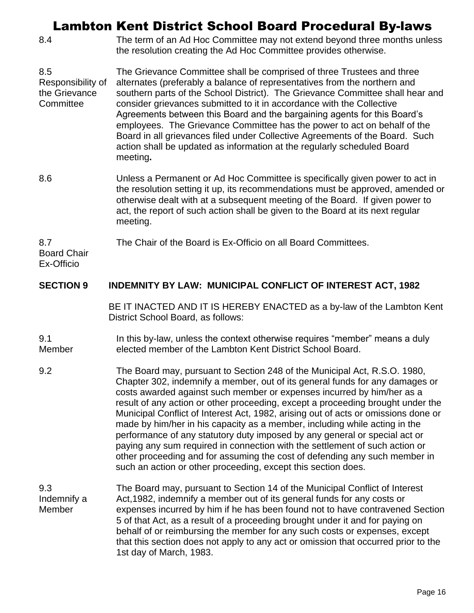8.4 The term of an Ad Hoc Committee may not extend beyond three months unless the resolution creating the Ad Hoc Committee provides otherwise.

8.5 Responsibility of the Grievance **Committee** The Grievance Committee shall be comprised of three Trustees and three alternates (preferably a balance of representatives from the northern and southern parts of the School District). The Grievance Committee shall hear and consider grievances submitted to it in accordance with the Collective Agreements between this Board and the bargaining agents for this Board's employees. The Grievance Committee has the power to act on behalf of the Board in all grievances filed under Collective Agreements of the Board. Such action shall be updated as information at the regularly scheduled Board meeting**.**

8.6 Unless a Permanent or Ad Hoc Committee is specifically given power to act in the resolution setting it up, its recommendations must be approved, amended or otherwise dealt with at a subsequent meeting of the Board. If given power to act, the report of such action shall be given to the Board at its next regular meeting.

8.7 The Chair of the Board is Ex-Officio on all Board Committees.

Board Chair Ex-Officio

#### **SECTION 9 INDEMNITY BY LAW: MUNICIPAL CONFLICT OF INTEREST ACT, 1982**

BE IT INACTED AND IT IS HEREBY ENACTED as a by-law of the Lambton Kent District School Board, as follows:

#### 9.1 Member In this by-law, unless the context otherwise requires "member" means a duly elected member of the Lambton Kent District School Board.

- 9.2 The Board may, pursuant to Section 248 of the Municipal Act, R.S.O. 1980, Chapter 302, indemnify a member, out of its general funds for any damages or costs awarded against such member or expenses incurred by him/her as a result of any action or other proceeding, except a proceeding brought under the Municipal Conflict of Interest Act, 1982, arising out of acts or omissions done or made by him/her in his capacity as a member, including while acting in the performance of any statutory duty imposed by any general or special act or paying any sum required in connection with the settlement of such action or other proceeding and for assuming the cost of defending any such member in such an action or other proceeding, except this section does.
- 9.3 Indemnify a Member The Board may, pursuant to Section 14 of the Municipal Conflict of Interest Act,1982, indemnify a member out of its general funds for any costs or expenses incurred by him if he has been found not to have contravened Section 5 of that Act, as a result of a proceeding brought under it and for paying on behalf of or reimbursing the member for any such costs or expenses, except that this section does not apply to any act or omission that occurred prior to the 1st day of March, 1983.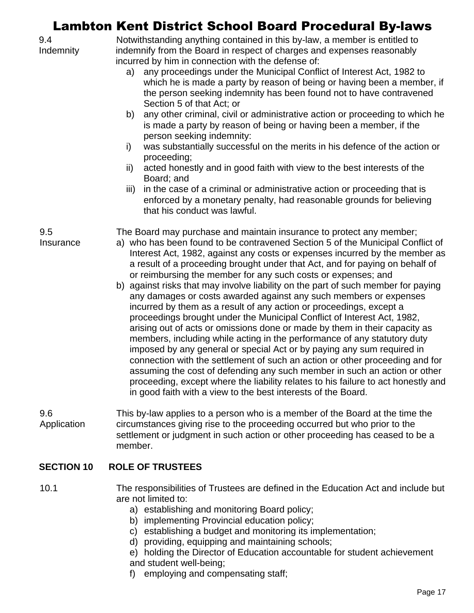|                    | <b>Lambton Kent District School Board Procedural By-laws</b>                                                                                                                                                                                                                                                                                                                                                                                                                                                                                                                                                                                                                                                                                                                                                                                                                                                                                                                                                                                                                                                                                                                                                                                              |
|--------------------|-----------------------------------------------------------------------------------------------------------------------------------------------------------------------------------------------------------------------------------------------------------------------------------------------------------------------------------------------------------------------------------------------------------------------------------------------------------------------------------------------------------------------------------------------------------------------------------------------------------------------------------------------------------------------------------------------------------------------------------------------------------------------------------------------------------------------------------------------------------------------------------------------------------------------------------------------------------------------------------------------------------------------------------------------------------------------------------------------------------------------------------------------------------------------------------------------------------------------------------------------------------|
| 9.4<br>Indemnity   | Notwithstanding anything contained in this by-law, a member is entitled to<br>indemnify from the Board in respect of charges and expenses reasonably<br>incurred by him in connection with the defense of:<br>any proceedings under the Municipal Conflict of Interest Act, 1982 to<br>a)<br>which he is made a party by reason of being or having been a member, if<br>the person seeking indemnity has been found not to have contravened<br>Section 5 of that Act; or<br>any other criminal, civil or administrative action or proceeding to which he<br>b)<br>is made a party by reason of being or having been a member, if the<br>person seeking indemnity:<br>was substantially successful on the merits in his defence of the action or<br>i)<br>proceeding;<br>acted honestly and in good faith with view to the best interests of the<br>ii)<br>Board; and<br>in the case of a criminal or administrative action or proceeding that is<br>iii)<br>enforced by a monetary penalty, had reasonable grounds for believing<br>that his conduct was lawful.                                                                                                                                                                                          |
| 9.5<br>Insurance   | The Board may purchase and maintain insurance to protect any member;<br>a) who has been found to be contravened Section 5 of the Municipal Conflict of<br>Interest Act, 1982, against any costs or expenses incurred by the member as<br>a result of a proceeding brought under that Act, and for paying on behalf of<br>or reimbursing the member for any such costs or expenses; and<br>b) against risks that may involve liability on the part of such member for paying<br>any damages or costs awarded against any such members or expenses<br>incurred by them as a result of any action or proceedings, except a<br>proceedings brought under the Municipal Conflict of Interest Act, 1982,<br>arising out of acts or omissions done or made by them in their capacity as<br>members, including while acting in the performance of any statutory duty<br>imposed by any general or special Act or by paying any sum required in<br>connection with the settlement of such an action or other proceeding and for<br>assuming the cost of defending any such member in such an action or other<br>proceeding, except where the liability relates to his failure to act honestly and<br>in good faith with a view to the best interests of the Board. |
| 9.6<br>Application | This by-law applies to a person who is a member of the Board at the time the<br>circumstances giving rise to the proceeding occurred but who prior to the<br>settlement or judgment in such action or other proceeding has ceased to be a<br>member.                                                                                                                                                                                                                                                                                                                                                                                                                                                                                                                                                                                                                                                                                                                                                                                                                                                                                                                                                                                                      |
| <b>SECTION 10</b>  | <b>ROLE OF TRUSTEES</b>                                                                                                                                                                                                                                                                                                                                                                                                                                                                                                                                                                                                                                                                                                                                                                                                                                                                                                                                                                                                                                                                                                                                                                                                                                   |

- 10.1 The responsibilities of Trustees are defined in the Education Act and include but are not limited to:
	- a) establishing and monitoring Board policy;
	- b) implementing Provincial education policy;
	- c) establishing a budget and monitoring its implementation;
	- d) providing, equipping and maintaining schools;
	- e) holding the Director of Education accountable for student achievement and student well-being;
	- f) employing and compensating staff;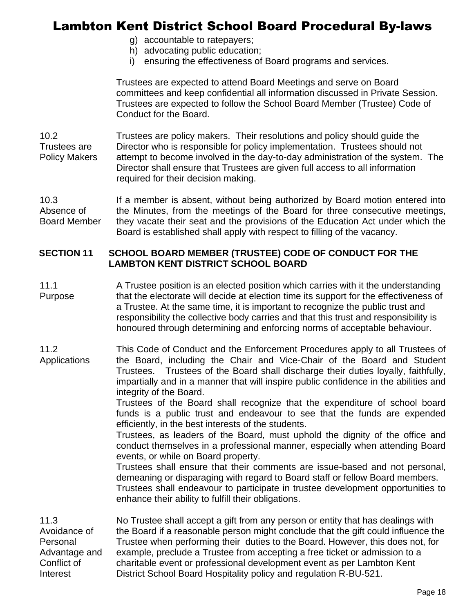- g) accountable to ratepayers;
- h) advocating public education;
- i) ensuring the effectiveness of Board programs and services.

Trustees are expected to attend Board Meetings and serve on Board committees and keep confidential all information discussed in Private Session. Trustees are expected to follow the School Board Member (Trustee) Code of Conduct for the Board.

10.2 Trustees are Policy Makers Trustees are policy makers. Their resolutions and policy should guide the Director who is responsible for policy implementation. Trustees should not attempt to become involved in the day-to-day administration of the system. The Director shall ensure that Trustees are given full access to all information required for their decision making.

10.3 Absence of Board Member If a member is absent, without being authorized by Board motion entered into the Minutes, from the meetings of the Board for three consecutive meetings, they vacate their seat and the provisions of the Education Act under which the Board is established shall apply with respect to filling of the vacancy.

#### **SECTION 11 SCHOOL BOARD MEMBER (TRUSTEE) CODE OF CONDUCT FOR THE LAMBTON KENT DISTRICT SCHOOL BOARD**

11.1 Purpose A Trustee position is an elected position which carries with it the understanding that the electorate will decide at election time its support for the effectiveness of a Trustee. At the same time, it is important to recognize the public trust and responsibility the collective body carries and that this trust and responsibility is honoured through determining and enforcing norms of acceptable behaviour.

11.2 **Applications** This Code of Conduct and the Enforcement Procedures apply to all Trustees of the Board, including the Chair and Vice-Chair of the Board and Student Trustees. Trustees of the Board shall discharge their duties loyally, faithfully, impartially and in a manner that will inspire public confidence in the abilities and integrity of the Board.

> Trustees of the Board shall recognize that the expenditure of school board funds is a public trust and endeavour to see that the funds are expended efficiently, in the best interests of the students.

> Trustees, as leaders of the Board, must uphold the dignity of the office and conduct themselves in a professional manner, especially when attending Board events, or while on Board property.

> Trustees shall ensure that their comments are issue-based and not personal, demeaning or disparaging with regard to Board staff or fellow Board members. Trustees shall endeavour to participate in trustee development opportunities to enhance their ability to fulfill their obligations.

11.3 Avoidance of Personal Advantage and Conflict of Interest No Trustee shall accept a gift from any person or entity that has dealings with the Board if a reasonable person might conclude that the gift could influence the Trustee when performing their duties to the Board. However, this does not, for example, preclude a Trustee from accepting a free ticket or admission to a charitable event or professional development event as per Lambton Kent District School Board Hospitality policy and regulation R-BU-521.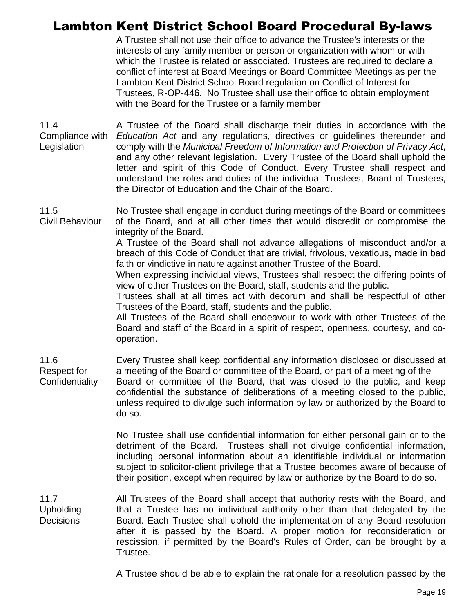A Trustee shall not use their office to advance the Trustee's interests or the interests of any family member or person or organization with whom or with which the Trustee is related or associated. Trustees are required to declare a conflict of interest at Board Meetings or Board Committee Meetings as per the Lambton Kent District School Board regulation on Conflict of Interest for Trustees, R-OP-446. No Trustee shall use their office to obtain employment with the Board for the Trustee or a family member

11.4 Compliance with *Education Act* and any regulations, directives or guidelines thereunder and **Legislation** A Trustee of the Board shall discharge their duties in accordance with the comply with the *Municipal Freedom of Information and Protection of Privacy Act*, and any other relevant legislation. Every Trustee of the Board shall uphold the letter and spirit of this Code of Conduct. Every Trustee shall respect and understand the roles and duties of the individual Trustees, Board of Trustees, the Director of Education and the Chair of the Board.

11.5 Civil Behaviour No Trustee shall engage in conduct during meetings of the Board or committees of the Board, and at all other times that would discredit or compromise the integrity of the Board.

> A Trustee of the Board shall not advance allegations of misconduct and/or a breach of this Code of Conduct that are trivial, frivolous, vexatious**,** made in bad faith or vindictive in nature against another Trustee of the Board.

> When expressing individual views, Trustees shall respect the differing points of view of other Trustees on the Board, staff, students and the public.

> Trustees shall at all times act with decorum and shall be respectful of other Trustees of the Board, staff, students and the public.

> All Trustees of the Board shall endeavour to work with other Trustees of the Board and staff of the Board in a spirit of respect, openness, courtesy, and cooperation.

11.6 Respect for **Confidentiality** Every Trustee shall keep confidential any information disclosed or discussed at a meeting of the Board or committee of the Board, or part of a meeting of the Board or committee of the Board, that was closed to the public, and keep confidential the substance of deliberations of a meeting closed to the public, unless required to divulge such information by law or authorized by the Board to do so.

> No Trustee shall use confidential information for either personal gain or to the detriment of the Board. Trustees shall not divulge confidential information, including personal information about an identifiable individual or information subject to solicitor-client privilege that a Trustee becomes aware of because of their position, except when required by law or authorize by the Board to do so.

11.7 Upholding **Decisions** All Trustees of the Board shall accept that authority rests with the Board, and that a Trustee has no individual authority other than that delegated by the Board. Each Trustee shall uphold the implementation of any Board resolution after it is passed by the Board. A proper motion for reconsideration or rescission, if permitted by the Board's Rules of Order, can be brought by a Trustee.

A Trustee should be able to explain the rationale for a resolution passed by the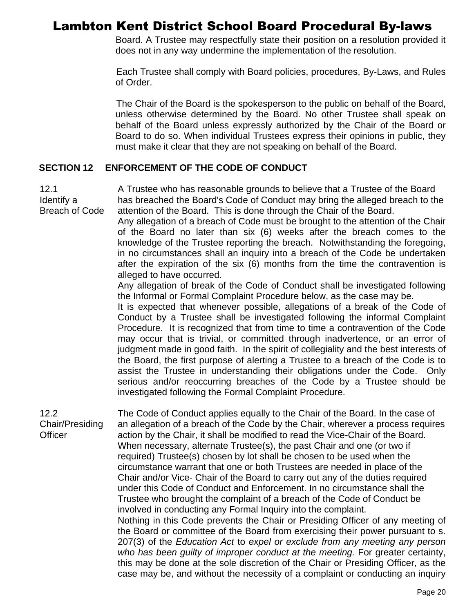Board. A Trustee may respectfully state their position on a resolution provided it does not in any way undermine the implementation of the resolution.

Each Trustee shall comply with Board policies, procedures, By-Laws, and Rules of Order.

The Chair of the Board is the spokesperson to the public on behalf of the Board, unless otherwise determined by the Board. No other Trustee shall speak on behalf of the Board unless expressly authorized by the Chair of the Board or Board to do so. When individual Trustees express their opinions in public, they must make it clear that they are not speaking on behalf of the Board.

#### **SECTION 12 ENFORCEMENT OF THE CODE OF CONDUCT**

12.1 Identify a Breach of Code A Trustee who has reasonable grounds to believe that a Trustee of the Board has breached the Board's Code of Conduct may bring the alleged breach to the attention of the Board.This is done through the Chair of the Board.

Any allegation of a breach of Code must be brought to the attention of the Chair of the Board no later than six (6) weeks after the breach comes to the knowledge of the Trustee reporting the breach. Notwithstanding the foregoing, in no circumstances shall an inquiry into a breach of the Code be undertaken after the expiration of the six (6) months from the time the contravention is alleged to have occurred.

Any allegation of break of the Code of Conduct shall be investigated following the Informal or Formal Complaint Procedure below, as the case may be.

It is expected that whenever possible, allegations of a break of the Code of Conduct by a Trustee shall be investigated following the informal Complaint Procedure. It is recognized that from time to time a contravention of the Code may occur that is trivial, or committed through inadvertence, or an error of judgment made in good faith. In the spirit of collegiality and the best interests of the Board, the first purpose of alerting a Trustee to a breach of the Code is to assist the Trustee in understanding their obligations under the Code. Only serious and/or reoccurring breaches of the Code by a Trustee should be investigated following the Formal Complaint Procedure.

12.2 Chair/Presiding **Officer** The Code of Conduct applies equally to the Chair of the Board. In the case of an allegation of a breach of the Code by the Chair, wherever a process requires action by the Chair, it shall be modified to read the Vice-Chair of the Board. When necessary, alternate Trustee(s), the past Chair and one (or two if required) Trustee(s) chosen by lot shall be chosen to be used when the circumstance warrant that one or both Trustees are needed in place of the Chair and/or Vice- Chair of the Board to carry out any of the duties required under this Code of Conduct and Enforcement. In no circumstance shall the Trustee who brought the complaint of a breach of the Code of Conduct be involved in conducting any Formal Inquiry into the complaint. Nothing in this Code prevents the Chair or Presiding Officer of any meeting of the Board or committee of the Board from exercising their power pursuant to s. 207(3) of the *Education Act* to *expel or exclude from any meeting any person who has been guilty of improper conduct at the meeting.* For greater certainty, this may be done at the sole discretion of the Chair or Presiding Officer, as the case may be, and without the necessity of a complaint or conducting an inquiry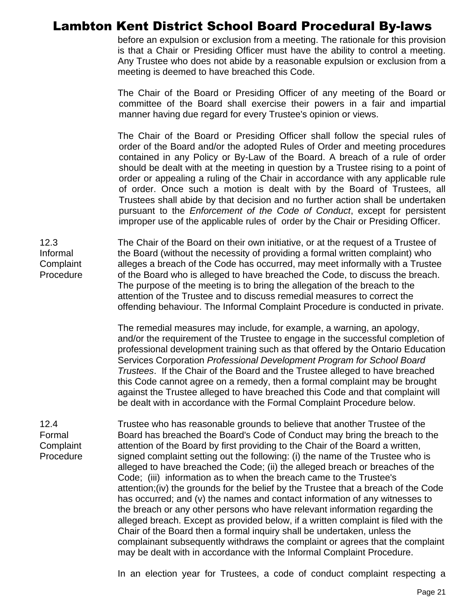before an expulsion or exclusion from a meeting. The rationale for this provision is that a Chair or Presiding Officer must have the ability to control a meeting. Any Trustee who does not abide by a reasonable expulsion or exclusion from a meeting is deemed to have breached this Code.

The Chair of the Board or Presiding Officer of any meeting of the Board or committee of the Board shall exercise their powers in a fair and impartial manner having due regard for every Trustee's opinion or views.

The Chair of the Board or Presiding Officer shall follow the special rules of order of the Board and/or the adopted Rules of Order and meeting procedures contained in any Policy or By-Law of the Board. A breach of a rule of order should be dealt with at the meeting in question by a Trustee rising to a point of order or appealing a ruling of the Chair in accordance with any applicable rule of order. Once such a motion is dealt with by the Board of Trustees, all Trustees shall abide by that decision and no further action shall be undertaken pursuant to the *Enforcement of the Code of Conduct*, except for persistent improper use of the applicable rules of order by the Chair or Presiding Officer.

12.3 Informal **Complaint** Procedure The Chair of the Board on their own initiative, or at the request of a Trustee of the Board (without the necessity of providing a formal written complaint) who alleges a breach of the Code has occurred, may meet informally with a Trustee of the Board who is alleged to have breached the Code, to discuss the breach. The purpose of the meeting is to bring the allegation of the breach to the attention of the Trustee and to discuss remedial measures to correct the offending behaviour. The Informal Complaint Procedure is conducted in private.

> The remedial measures may include, for example, a warning, an apology, and/or the requirement of the Trustee to engage in the successful completion of professional development training such as that offered by the Ontario Education Services Corporation *Professional Development Program for School Board Trustees*. If the Chair of the Board and the Trustee alleged to have breached this Code cannot agree on a remedy, then a formal complaint may be brought against the Trustee alleged to have breached this Code and that complaint will be dealt with in accordance with the Formal Complaint Procedure below.

#### 12.4 Formal **Complaint** Procedure

Trustee who has reasonable grounds to believe that another Trustee of the Board has breached the Board's Code of Conduct may bring the breach to the attention of the Board by first providing to the Chair of the Board a written, signed complaint setting out the following: (i) the name of the Trustee who is alleged to have breached the Code; (ii) the alleged breach or breaches of the Code; (iii) information as to when the breach came to the Trustee's attention;(iv) the grounds for the belief by the Trustee that a breach of the Code has occurred; and (v) the names and contact information of any witnesses to the breach or any other persons who have relevant information regarding the alleged breach. Except as provided below, if a written complaint is filed with the Chair of the Board then a formal inquiry shall be undertaken, unless the complainant subsequently withdraws the complaint or agrees that the complaint may be dealt with in accordance with the Informal Complaint Procedure.

In an election year for Trustees, a code of conduct complaint respecting a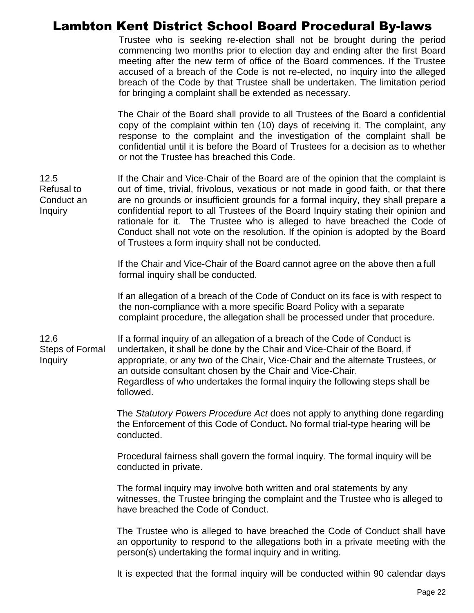Trustee who is seeking re-election shall not be brought during the period commencing two months prior to election day and ending after the first Board meeting after the new term of office of the Board commences. If the Trustee accused of a breach of the Code is not re-elected, no inquiry into the alleged breach of the Code by that Trustee shall be undertaken. The limitation period for bringing a complaint shall be extended as necessary.

The Chair of the Board shall provide to all Trustees of the Board a confidential copy of the complaint within ten (10) days of receiving it. The complaint, any response to the complaint and the investigation of the complaint shall be confidential until it is before the Board of Trustees for a decision as to whether or not the Trustee has breached this Code.

12.5 Refusal to Conduct an Inquiry If the Chair and Vice-Chair of the Board are of the opinion that the complaint is out of time, trivial, frivolous, vexatious or not made in good faith, or that there are no grounds or insufficient grounds for a formal inquiry, they shall prepare a confidential report to all Trustees of the Board Inquiry stating their opinion and rationale for it. The Trustee who is alleged to have breached the Code of Conduct shall not vote on the resolution. If the opinion is adopted by the Board of Trustees a form inquiry shall not be conducted.

> If the Chair and Vice-Chair of the Board cannot agree on the above then a full formal inquiry shall be conducted.

If an allegation of a breach of the Code of Conduct on its face is with respect to the non-compliance with a more specific Board Policy with a separate complaint procedure, the allegation shall be processed under that procedure.

12.6 Steps of Formal Inquiry If a formal inquiry of an allegation of a breach of the Code of Conduct is undertaken, it shall be done by the Chair and Vice-Chair of the Board, if appropriate, or any two of the Chair, Vice-Chair and the alternate Trustees, or an outside consultant chosen by the Chair and Vice-Chair. Regardless of who undertakes the formal inquiry the following steps shall be followed.

> The *Statutory Powers Procedure Act* does not apply to anything done regarding the Enforcement of this Code of Conduct**.** No formal trial-type hearing will be conducted.

Procedural fairness shall govern the formal inquiry. The formal inquiry will be conducted in private.

The formal inquiry may involve both written and oral statements by any witnesses, the Trustee bringing the complaint and the Trustee who is alleged to have breached the Code of Conduct.

The Trustee who is alleged to have breached the Code of Conduct shall have an opportunity to respond to the allegations both in a private meeting with the person(s) undertaking the formal inquiry and in writing.

It is expected that the formal inquiry will be conducted within 90 calendar days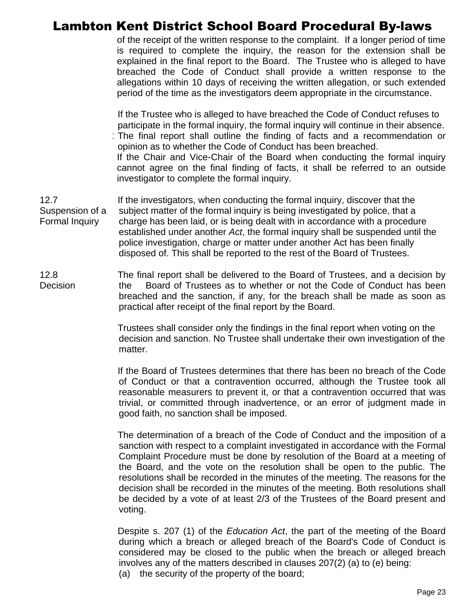of the receipt of the written response to the complaint. If a longer period of time is required to complete the inquiry, the reason for the extension shall be explained in the final report to the Board. The Trustee who is alleged to have breached the Code of Conduct shall provide a written response to the allegations within 10 days of receiving the written allegation, or such extended period of the time as the investigators deem appropriate in the circumstance.

If the Trustee who is alleged to have breached the Code of Conduct refuses to participate in the formal inquiry, the formal inquiry will continue in their absence. The final report shall outline the finding of facts and a recommendation or opinion as to whether the Code of Conduct has been breached. If the Chair and Vice-Chair of the Board when conducting the formal inquiry cannot agree on the final finding of facts, it shall be referred to an outside investigator to complete the formal inquiry.

12.7 Suspension of a Formal Inquiry If the investigators, when conducting the formal inquiry, discover that the subject matter of the formal inquiry is being investigated by police, that a charge has been laid, or is being dealt with in accordance with a procedure established under another *Act*, the formal inquiry shall be suspended until the police investigation, charge or matter under another Act has been finally disposed of. This shall be reported to the rest of the Board of Trustees.

12.8 **Decision** The final report shall be delivered to the Board of Trustees, and a decision by the Board of Trustees as to whether or not the Code of Conduct has been breached and the sanction, if any, for the breach shall be made as soon as practical after receipt of the final report by the Board.

> Trustees shall consider only the findings in the final report when voting on the decision and sanction. No Trustee shall undertake their own investigation of the matter.

> If the Board of Trustees determines that there has been no breach of the Code of Conduct or that a contravention occurred, although the Trustee took all reasonable measurers to prevent it, or that a contravention occurred that was trivial, or committed through inadvertence, or an error of judgment made in good faith, no sanction shall be imposed.

> The determination of a breach of the Code of Conduct and the imposition of a sanction with respect to a complaint investigated in accordance with the Formal Complaint Procedure must be done by resolution of the Board at a meeting of the Board, and the vote on the resolution shall be open to the public. The resolutions shall be recorded in the minutes of the meeting. The reasons for the decision shall be recorded in the minutes of the meeting. Both resolutions shall be decided by a vote of at least 2/3 of the Trustees of the Board present and voting.

> Despite s. 207 (1) of the *Education Act*, the part of the meeting of the Board during which a breach or alleged breach of the Board's Code of Conduct is considered may be closed to the public when the breach or alleged breach involves any of the matters described in clauses 207(2) (a) to (e) being: (a) the security of the property of the board;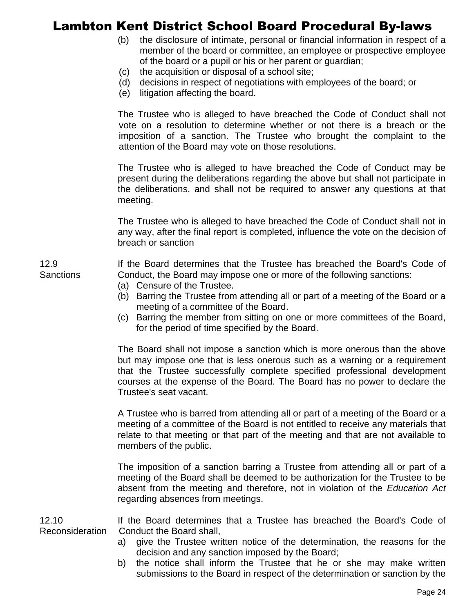- (b) the disclosure of intimate, personal or financial information in respect of a member of the board or committee, an employee or prospective employee of the board or a pupil or his or her parent or guardian;
- (c) the acquisition or disposal of a school site;
- (d) decisions in respect of negotiations with employees of the board; or
- (e) litigation affecting the board.

The Trustee who is alleged to have breached the Code of Conduct shall not vote on a resolution to determine whether or not there is a breach or the imposition of a sanction. The Trustee who brought the complaint to the attention of the Board may vote on those resolutions.

The Trustee who is alleged to have breached the Code of Conduct may be present during the deliberations regarding the above but shall not participate in the deliberations, and shall not be required to answer any questions at that meeting.

The Trustee who is alleged to have breached the Code of Conduct shall not in any way, after the final report is completed, influence the vote on the decision of breach or sanction

If the Board determines that the Trustee has breached the Board's Code of Conduct, the Board may impose one or more of the following sanctions:

- (a) Censure of the Trustee.
- (b) Barring the Trustee from attending all or part of a meeting of the Board or a meeting of a committee of the Board.
- (c) Barring the member from sitting on one or more committees of the Board, for the period of time specified by the Board.

The Board shall not impose a sanction which is more onerous than the above but may impose one that is less onerous such as a warning or a requirement that the Trustee successfully complete specified professional development courses at the expense of the Board. The Board has no power to declare the Trustee's seat vacant.

A Trustee who is barred from attending all or part of a meeting of the Board or a meeting of a committee of the Board is not entitled to receive any materials that relate to that meeting or that part of the meeting and that are not available to members of the public.

The imposition of a sanction barring a Trustee from attending all or part of a meeting of the Board shall be deemed to be authorization for the Trustee to be absent from the meeting and therefore, not in violation of the *Education Act* regarding absences from meetings.

12.10 Reconsideration If the Board determines that a Trustee has breached the Board's Code of Conduct the Board shall,

- a) give the Trustee written notice of the determination, the reasons for the decision and any sanction imposed by the Board;
- b) the notice shall inform the Trustee that he or she may make written submissions to the Board in respect of the determination or sanction by the

**Sanctions** 

12.9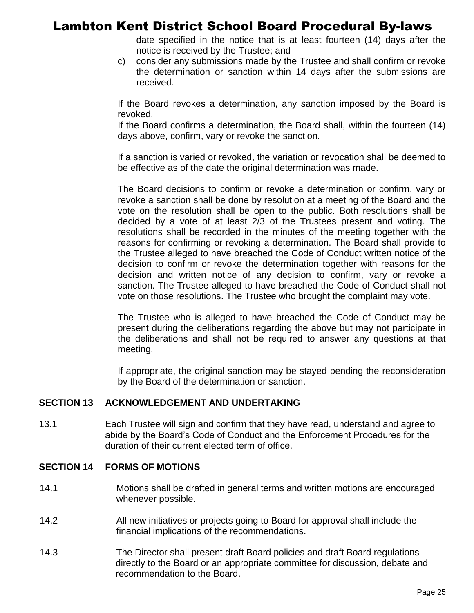date specified in the notice that is at least fourteen (14) days after the notice is received by the Trustee; and

c) consider any submissions made by the Trustee and shall confirm or revoke the determination or sanction within 14 days after the submissions are received.

If the Board revokes a determination, any sanction imposed by the Board is revoked.

If the Board confirms a determination, the Board shall, within the fourteen (14) days above, confirm, vary or revoke the sanction.

If a sanction is varied or revoked, the variation or revocation shall be deemed to be effective as of the date the original determination was made.

The Board decisions to confirm or revoke a determination or confirm, vary or revoke a sanction shall be done by resolution at a meeting of the Board and the vote on the resolution shall be open to the public. Both resolutions shall be decided by a vote of at least 2/3 of the Trustees present and voting. The resolutions shall be recorded in the minutes of the meeting together with the reasons for confirming or revoking a determination. The Board shall provide to the Trustee alleged to have breached the Code of Conduct written notice of the decision to confirm or revoke the determination together with reasons for the decision and written notice of any decision to confirm, vary or revoke a sanction. The Trustee alleged to have breached the Code of Conduct shall not vote on those resolutions. The Trustee who brought the complaint may vote.

The Trustee who is alleged to have breached the Code of Conduct may be present during the deliberations regarding the above but may not participate in the deliberations and shall not be required to answer any questions at that meeting.

If appropriate, the original sanction may be stayed pending the reconsideration by the Board of the determination or sanction.

#### **SECTION 13 ACKNOWLEDGEMENT AND UNDERTAKING**

13.1 Each Trustee will sign and confirm that they have read, understand and agree to abide by the Board's Code of Conduct and the Enforcement Procedures for the duration of their current elected term of office.

#### **SECTION 14 FORMS OF MOTIONS**

- 14.1 Motions shall be drafted in general terms and written motions are encouraged whenever possible.
- 14.2 All new initiatives or projects going to Board for approval shall include the financial implications of the recommendations.
- 14.3 The Director shall present draft Board policies and draft Board regulations directly to the Board or an appropriate committee for discussion, debate and recommendation to the Board.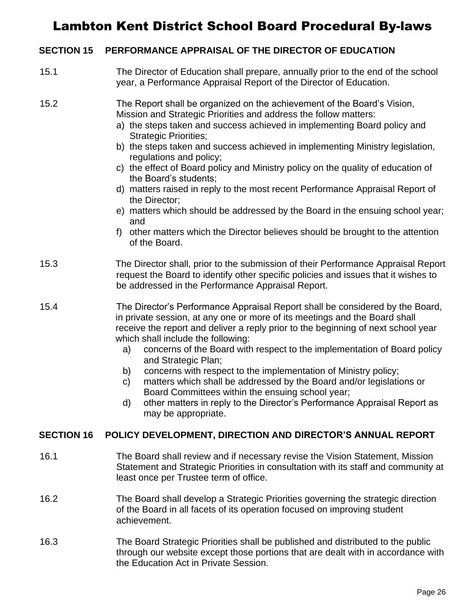#### **SECTION 15 PERFORMANCE APPRAISAL OF THE DIRECTOR OF EDUCATION**

- 15.1 The Director of Education shall prepare, annually prior to the end of the school year, a Performance Appraisal Report of the Director of Education.
- 15.2 The Report shall be organized on the achievement of the Board's Vision, Mission and Strategic Priorities and address the follow matters:
	- a) the steps taken and success achieved in implementing Board policy and Strategic Priorities;
	- b) the steps taken and success achieved in implementing Ministry legislation, regulations and policy;
	- c) the effect of Board policy and Ministry policy on the quality of education of the Board's students;
	- d) matters raised in reply to the most recent Performance Appraisal Report of the Director;
	- e) matters which should be addressed by the Board in the ensuing school year; and
	- f) other matters which the Director believes should be brought to the attention of the Board.
- 15.3 The Director shall, prior to the submission of their Performance Appraisal Report request the Board to identify other specific policies and issues that it wishes to be addressed in the Performance Appraisal Report.
- 15.4 The Director's Performance Appraisal Report shall be considered by the Board, in private session, at any one or more of its meetings and the Board shall receive the report and deliver a reply prior to the beginning of next school year which shall include the following:
	- a) concerns of the Board with respect to the implementation of Board policy and Strategic Plan;
	- b) concerns with respect to the implementation of Ministry policy;
	- c) matters which shall be addressed by the Board and/or legislations or Board Committees within the ensuing school year;
	- d) other matters in reply to the Director's Performance Appraisal Report as may be appropriate.

#### **SECTION 16 POLICY DEVELOPMENT, DIRECTION AND DIRECTOR'S ANNUAL REPORT**

- 16.1 The Board shall review and if necessary revise the Vision Statement, Mission Statement and Strategic Priorities in consultation with its staff and community at least once per Trustee term of office.
- 16.2 The Board shall develop a Strategic Priorities governing the strategic direction of the Board in all facets of its operation focused on improving student achievement.
- 16.3 The Board Strategic Priorities shall be published and distributed to the public through our website except those portions that are dealt with in accordance with the Education Act in Private Session.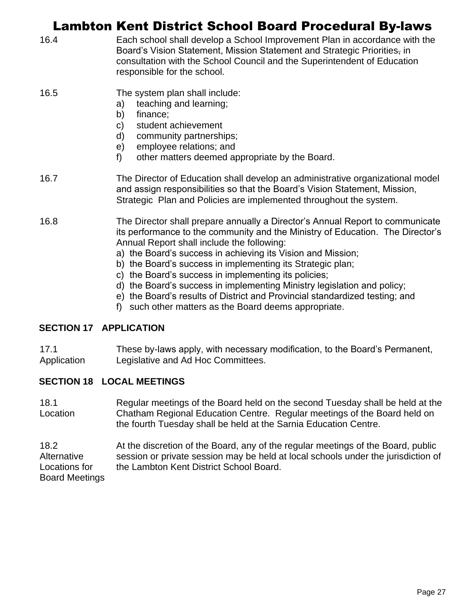|      | Lambton Kent District School Board Procedural By-laws                                                                                                                                                                                                                                                                                                                                                                                                                                                                                                                                                                 |
|------|-----------------------------------------------------------------------------------------------------------------------------------------------------------------------------------------------------------------------------------------------------------------------------------------------------------------------------------------------------------------------------------------------------------------------------------------------------------------------------------------------------------------------------------------------------------------------------------------------------------------------|
| 16.4 | Each school shall develop a School Improvement Plan in accordance with the<br>Board's Vision Statement, Mission Statement and Strategic Priorities, in<br>consultation with the School Council and the Superintendent of Education<br>responsible for the school.                                                                                                                                                                                                                                                                                                                                                     |
| 16.5 | The system plan shall include:<br>teaching and learning;<br>a)<br>finance;<br>b)<br>student achievement<br>C)<br>community partnerships;<br>d)<br>employee relations; and<br>e)<br>f)<br>other matters deemed appropriate by the Board.                                                                                                                                                                                                                                                                                                                                                                               |
| 16.7 | The Director of Education shall develop an administrative organizational model<br>and assign responsibilities so that the Board's Vision Statement, Mission,<br>Strategic Plan and Policies are implemented throughout the system.                                                                                                                                                                                                                                                                                                                                                                                    |
| 16.8 | The Director shall prepare annually a Director's Annual Report to communicate<br>its performance to the community and the Ministry of Education. The Director's<br>Annual Report shall include the following:<br>a) the Board's success in achieving its Vision and Mission;<br>b) the Board's success in implementing its Strategic plan;<br>c) the Board's success in implementing its policies;<br>d) the Board's success in implementing Ministry legislation and policy;<br>e) the Board's results of District and Provincial standardized testing; and<br>f) such other matters as the Board deems appropriate. |
|      |                                                                                                                                                                                                                                                                                                                                                                                                                                                                                                                                                                                                                       |

#### **SECTION 17 APPLICATION**

17.1 Application These by-laws apply, with necessary modification, to the Board's Permanent, Legislative and Ad Hoc Committees.

#### **SECTION 18 LOCAL MEETINGS**

18.1 **Location** Regular meetings of the Board held on the second Tuesday shall be held at the Chatham Regional Education Centre. Regular meetings of the Board held on the fourth Tuesday shall be held at the Sarnia Education Centre.

18.2 **Alternative** Locations for Board Meetings At the discretion of the Board, any of the regular meetings of the Board, public session or private session may be held at local schools under the jurisdiction of the Lambton Kent District School Board.